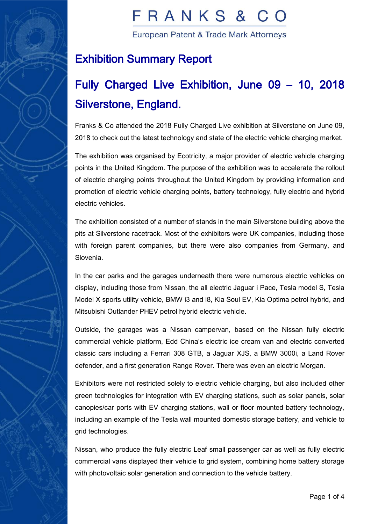European Patent & Trade Mark Attorneys

### Exhibition Summary Report

### Fully Charged Live Exhibition, June 09 – 10, 2018 Silverstone, England.

Franks & Co attended the 2018 Fully Charged Live exhibition at Silverstone on June 09, 2018 to check out the latest technology and state of the electric vehicle charging market.

The exhibition was organised by Ecotricity, a major provider of electric vehicle charging points in the United Kingdom. The purpose of the exhibition was to accelerate the rollout of electric charging points throughout the United Kingdom by providing information and promotion of electric vehicle charging points, battery technology, fully electric and hybrid electric vehicles.

The exhibition consisted of a number of stands in the main Silverstone building above the pits at Silverstone racetrack. Most of the exhibitors were UK companies, including those with foreign parent companies, but there were also companies from Germany, and Slovenia.

In the car parks and the garages underneath there were numerous electric vehicles on display, including those from Nissan, the all electric Jaguar i Pace, Tesla model S, Tesla Model X sports utility vehicle, BMW i3 and i8, Kia Soul EV, Kia Optima petrol hybrid, and Mitsubishi Outlander PHEV petrol hybrid electric vehicle.

Outside, the garages was a Nissan campervan, based on the Nissan fully electric commercial vehicle platform, Edd China's electric ice cream van and electric converted classic cars including a Ferrari 308 GTB, a Jaguar XJS, a BMW 3000i, a Land Rover defender, and a first generation Range Rover. There was even an electric Morgan.

Exhibitors were not restricted solely to electric vehicle charging, but also included other green technologies for integration with EV charging stations, such as solar panels, solar canopies/car ports with EV charging stations, wall or floor mounted battery technology, including an example of the Tesla wall mounted domestic storage battery, and vehicle to grid technologies.

Nissan, who produce the fully electric Leaf small passenger car as well as fully electric commercial vans displayed their vehicle to grid system, combining home battery storage with photovoltaic solar generation and connection to the vehicle battery.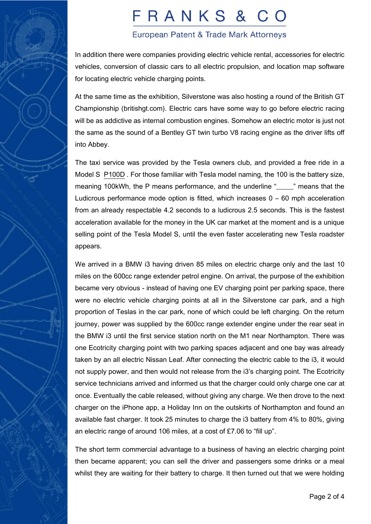

### European Patent & Trade Mark Attorneys

In addition there were companies providing electric vehicle rental, accessories for electric vehicles, conversion of classic cars to all electric propulsion, and location map software for locating electric vehicle charging points.

At the same time as the exhibition, Silverstone was also hosting a round of the British GT Championship (britishgt.com). Electric cars have some way to go before electric racing will be as addictive as internal combustion engines. Somehow an electric motor is just not the same as the sound of a Bentley GT twin turbo V8 racing engine as the driver lifts off into Abbey.

The taxi service was provided by the Tesla owners club, and provided a free ride in a Model S P100D . For those familiar with Tesla model naming, the 100 is the battery size, meaning 100kWh, the P means performance, and the underline " \_\_\_\_" means that the Ludicrous performance mode option is fitted, which increases  $0 - 60$  mph acceleration from an already respectable 4.2 seconds to a ludicrous 2.5 seconds. This is the fastest acceleration available for the money in the UK car market at the moment and is a unique selling point of the Tesla Model S, until the even faster accelerating new Tesla roadster appears.

We arrived in a BMW i3 having driven 85 miles on electric charge only and the last 10 miles on the 600cc range extender petrol engine. On arrival, the purpose of the exhibition became very obvious - instead of having one EV charging point per parking space, there were no electric vehicle charging points at all in the Silverstone car park, and a high proportion of Teslas in the car park, none of which could be left charging. On the return journey, power was supplied by the 600cc range extender engine under the rear seat in the BMW i3 until the first service station north on the M1 near Northampton. There was one Ecotricity charging point with two parking spaces adjacent and one bay was already taken by an all electric Nissan Leaf. After connecting the electric cable to the i3, it would not supply power, and then would not release from the i3's charging point. The Ecotricity service technicians arrived and informed us that the charger could only charge one car at once. Eventually the cable released, without giving any charge. We then drove to the next charger on the iPhone app, a Holiday Inn on the outskirts of Northampton and found an available fast charger. It took 25 minutes to charge the i3 battery from 4% to 80%, giving an electric range of around 106 miles, at a cost of £7.06 to "fill up".

The short term commercial advantage to a business of having an electric charging point then became apparent; you can sell the driver and passengers some drinks or a meal whilst they are waiting for their battery to charge. It then turned out that we were holding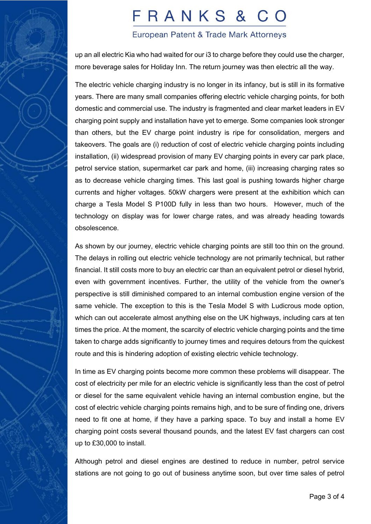

### European Patent & Trade Mark Attorneys

up an all electric Kia who had waited for our i3 to charge before they could use the charger, more beverage sales for Holiday Inn. The return journey was then electric all the way.

The electric vehicle charging industry is no longer in its infancy, but is still in its formative years. There are many small companies offering electric vehicle charging points, for both domestic and commercial use. The industry is fragmented and clear market leaders in EV charging point supply and installation have yet to emerge. Some companies look stronger than others, but the EV charge point industry is ripe for consolidation, mergers and takeovers. The goals are (i) reduction of cost of electric vehicle charging points including installation, (ii) widespread provision of many EV charging points in every car park place, petrol service station, supermarket car park and home, (iii) increasing charging rates so as to decrease vehicle charging times. This last goal is pushing towards higher charge currents and higher voltages. 50kW chargers were present at the exhibition which can charge a Tesla Model S P100D fully in less than two hours. However, much of the technology on display was for lower charge rates, and was already heading towards obsolescence.

As shown by our journey, electric vehicle charging points are still too thin on the ground. The delays in rolling out electric vehicle technology are not primarily technical, but rather financial. It still costs more to buy an electric car than an equivalent petrol or diesel hybrid, even with government incentives. Further, the utility of the vehicle from the owner's perspective is still diminished compared to an internal combustion engine version of the same vehicle. The exception to this is the Tesla Model S with Ludicrous mode option, which can out accelerate almost anything else on the UK highways, including cars at ten times the price. At the moment, the scarcity of electric vehicle charging points and the time taken to charge adds significantly to journey times and requires detours from the quickest route and this is hindering adoption of existing electric vehicle technology.

In time as EV charging points become more common these problems will disappear. The cost of electricity per mile for an electric vehicle is significantly less than the cost of petrol or diesel for the same equivalent vehicle having an internal combustion engine, but the cost of electric vehicle charging points remains high, and to be sure of finding one, drivers need to fit one at home, if they have a parking space. To buy and install a home EV charging point costs several thousand pounds, and the latest EV fast chargers can cost up to £30,000 to install.

Although petrol and diesel engines are destined to reduce in number, petrol service stations are not going to go out of business anytime soon, but over time sales of petrol